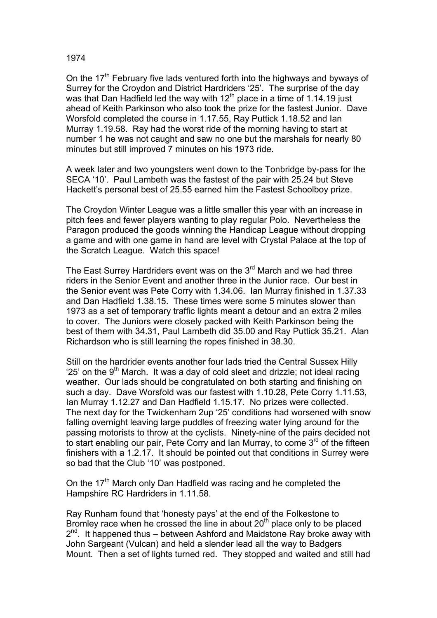## 1974

On the 17<sup>th</sup> February five lads ventured forth into the highways and byways of Surrey for the Croydon and District Hardriders '25'. The surprise of the day was that Dan Hadfield led the way with  $12<sup>th</sup>$  place in a time of 1.14.19 just ahead of Keith Parkinson who also took the prize for the fastest Junior. Dave Worsfold completed the course in 1.17.55, Ray Puttick 1.18.52 and Ian Murray 1.19.58. Ray had the worst ride of the morning having to start at number 1 he was not caught and saw no one but the marshals for nearly 80 minutes but still improved 7 minutes on his 1973 ride.

A week later and two youngsters went down to the Tonbridge by-pass for the SECA '10'. Paul Lambeth was the fastest of the pair with 25.24 but Steve Hackett's personal best of 25.55 earned him the Fastest Schoolboy prize.

The Croydon Winter League was a little smaller this year with an increase in pitch fees and fewer players wanting to play regular Polo. Nevertheless the Paragon produced the goods winning the Handicap League without dropping a game and with one game in hand are level with Crystal Palace at the top of the Scratch League. Watch this space!

The East Surrey Hardriders event was on the 3<sup>rd</sup> March and we had three riders in the Senior Event and another three in the Junior race. Our best in the Senior event was Pete Corry with 1.34.06. Ian Murray finished in 1.37.33 and Dan Hadfield 1.38.15. These times were some 5 minutes slower than 1973 as a set of temporary traffic lights meant a detour and an extra 2 miles to cover. The Juniors were closely packed with Keith Parkinson being the best of them with 34.31, Paul Lambeth did 35.00 and Ray Puttick 35.21. Alan Richardson who is still learning the ropes finished in 38.30.

Still on the hardrider events another four lads tried the Central Sussex Hilly '25' on the  $9<sup>th</sup>$  March. It was a day of cold sleet and drizzle; not ideal racing weather. Our lads should be congratulated on both starting and finishing on such a day. Dave Worsfold was our fastest with 1.10.28, Pete Corry 1.11.53, Ian Murray 1.12.27 and Dan Hadfield 1.15.17. No prizes were collected. The next day for the Twickenham 2up '25' conditions had worsened with snow falling overnight leaving large puddles of freezing water lying around for the passing motorists to throw at the cyclists. Ninety-nine of the pairs decided not to start enabling our pair, Pete Corry and Ian Murray, to come  $3<sup>rd</sup>$  of the fifteen finishers with a 1.2.17. It should be pointed out that conditions in Surrey were so bad that the Club '10' was postponed.

On the 17<sup>th</sup> March only Dan Hadfield was racing and he completed the Hampshire RC Hardriders in 1.11.58.

Ray Runham found that 'honesty pays' at the end of the Folkestone to Bromley race when he crossed the line in about  $20<sup>th</sup>$  place only to be placed  $2^{nd}$ . It happened thus – between Ashford and Maidstone Ray broke away with John Sargeant (Vulcan) and held a slender lead all the way to Badgers Mount. Then a set of lights turned red. They stopped and waited and still had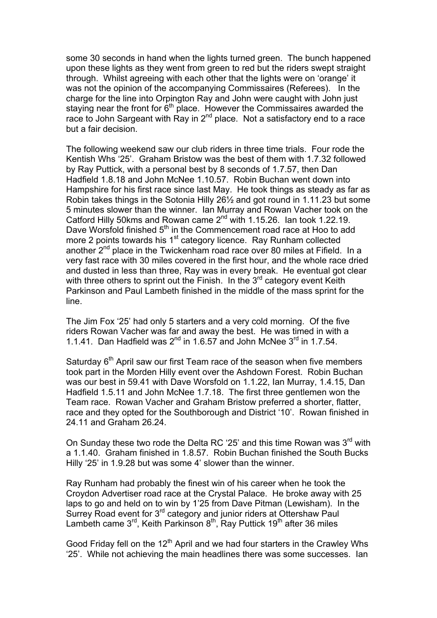some 30 seconds in hand when the lights turned green. The bunch happened upon these lights as they went from green to red but the riders swept straight through. Whilst agreeing with each other that the lights were on 'orange' it was not the opinion of the accompanying Commissaires (Referees). In the charge for the line into Orpington Ray and John were caught with John just staying near the front for  $6<sup>th</sup>$  place. However the Commissaires awarded the race to John Sargeant with Ray in  $2^{nd}$  place. Not a satisfactory end to a race but a fair decision.

The following weekend saw our club riders in three time trials. Four rode the Kentish Whs '25'. Graham Bristow was the best of them with 1.7.32 followed by Ray Puttick, with a personal best by 8 seconds of 1.7.57, then Dan Hadfield 1.8.18 and John McNee 1.10.57. Robin Buchan went down into Hampshire for his first race since last May. He took things as steady as far as Robin takes things in the Sotonia Hilly 26½ and got round in 1.11.23 but some 5 minutes slower than the winner. Ian Murray and Rowan Vacher took on the Catford Hilly 50kms and Rowan came  $2^{nd}$  with 1.15.26. Ian took 1.22.19. Dave Worsfold finished 5<sup>th</sup> in the Commencement road race at Hoo to add more 2 points towards his 1<sup>st</sup> category licence. Ray Runham collected another 2<sup>nd</sup> place in the Twickenham road race over 80 miles at Fifield. In a very fast race with 30 miles covered in the first hour, and the whole race dried and dusted in less than three, Ray was in every break. He eventual got clear with three others to sprint out the Finish. In the 3<sup>rd</sup> category event Keith Parkinson and Paul Lambeth finished in the middle of the mass sprint for the line.

The Jim Fox '25' had only 5 starters and a very cold morning. Of the five riders Rowan Vacher was far and away the best. He was timed in with a 1.1.41. Dan Hadfield was  $2^{nd}$  in 1.6.57 and John McNee  $3^{rd}$  in 1.7.54.

Saturday  $6<sup>th</sup>$  April saw our first Team race of the season when five members took part in the Morden Hilly event over the Ashdown Forest. Robin Buchan was our best in 59.41 with Dave Worsfold on 1.1.22, Ian Murray, 1.4.15, Dan Hadfield 1.5.11 and John McNee 1.7.18. The first three gentlemen won the Team race. Rowan Vacher and Graham Bristow preferred a shorter, flatter, race and they opted for the Southborough and District '10'. Rowan finished in 24.11 and Graham 26.24.

On Sunday these two rode the Delta RC '25' and this time Rowan was  $3<sup>rd</sup>$  with a 1.1.40. Graham finished in 1.8.57. Robin Buchan finished the South Bucks Hilly '25' in 1.9.28 but was some 4' slower than the winner.

Ray Runham had probably the finest win of his career when he took the Croydon Advertiser road race at the Crystal Palace. He broke away with 25 laps to go and held on to win by 1'25 from Dave Pitman (Lewisham). In the Surrey Road event for 3<sup>rd</sup> category and junior riders at Ottershaw Paul Lambeth came  $3^{rd}$ , Keith Parkinson  $8^{th}$ , Ray Puttick 19<sup>th</sup> after 36 miles

Good Friday fell on the 12<sup>th</sup> April and we had four starters in the Crawley Whs '25'. While not achieving the main headlines there was some successes. Ian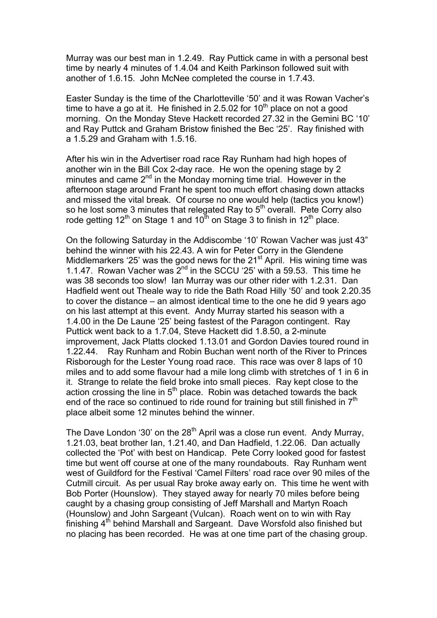Murray was our best man in 1.2.49. Ray Puttick came in with a personal best time by nearly 4 minutes of 1.4.04 and Keith Parkinson followed suit with another of 1.6.15. John McNee completed the course in 1.7.43.

Easter Sunday is the time of the Charlotteville '50' and it was Rowan Vacher's time to have a go at it. He finished in 2.5.02 for  $10<sup>th</sup>$  place on not a good morning. On the Monday Steve Hackett recorded 27.32 in the Gemini BC '10' and Ray Puttck and Graham Bristow finished the Bec '25'. Ray finished with a 1.5.29 and Graham with 1.5.16.

After his win in the Advertiser road race Ray Runham had high hopes of another win in the Bill Cox 2-day race. He won the opening stage by 2 minutes and came  $2<sup>nd</sup>$  in the Monday morning time trial. However in the afternoon stage around Frant he spent too much effort chasing down attacks and missed the vital break. Of course no one would help (tactics you know!) so he lost some 3 minutes that relegated Ray to  $5<sup>th</sup>$  overall. Pete Corry also rode getting 12<sup>th</sup> on Stage 1 and 10<sup>th</sup> on Stage 3 to finish in 12<sup>th</sup> place.

On the following Saturday in the Addiscombe '10' Rowan Vacher was just 43" behind the winner with his 22.43. A win for Peter Corry in the Glendene Middlemarkers '25' was the good news for the  $21<sup>st</sup>$  April. His wining time was 1.1.47. Rowan Vacher was  $2^{nd}$  in the SCCU '25' with a 59.53. This time he was 38 seconds too slow! Ian Murray was our other rider with 1.2.31. Dan Hadfield went out Theale way to ride the Bath Road Hilly '50' and took 2.20.35 to cover the distance – an almost identical time to the one he did 9 years ago on his last attempt at this event. Andy Murray started his season with a 1.4.00 in the De Laune '25' being fastest of the Paragon contingent. Ray Puttick went back to a 1.7.04, Steve Hackett did 1.8.50, a 2-minute improvement, Jack Platts clocked 1.13.01 and Gordon Davies toured round in 1.22.44. Ray Runham and Robin Buchan went north of the River to Princes Risborough for the Lester Young road race. This race was over 8 laps of 10 miles and to add some flavour had a mile long climb with stretches of 1 in 6 in it. Strange to relate the field broke into small pieces. Ray kept close to the action crossing the line in  $5<sup>th</sup>$  place. Robin was detached towards the back end of the race so continued to ride round for training but still finished in  $7<sup>th</sup>$ place albeit some 12 minutes behind the winner.

The Dave London '30' on the  $28<sup>th</sup>$  April was a close run event. Andy Murray, 1.21.03, beat brother Ian, 1.21.40, and Dan Hadfield, 1.22.06. Dan actually collected the 'Pot' with best on Handicap. Pete Corry looked good for fastest time but went off course at one of the many roundabouts. Ray Runham went west of Guildford for the Festival 'Camel Filters' road race over 90 miles of the Cutmill circuit. As per usual Ray broke away early on. This time he went with Bob Porter (Hounslow). They stayed away for nearly 70 miles before being caught by a chasing group consisting of Jeff Marshall and Martyn Roach (Hounslow) and John Sargeant (Vulcan). Roach went on to win with Ray finishing 4<sup>th</sup> behind Marshall and Sargeant. Dave Worsfold also finished but no placing has been recorded. He was at one time part of the chasing group.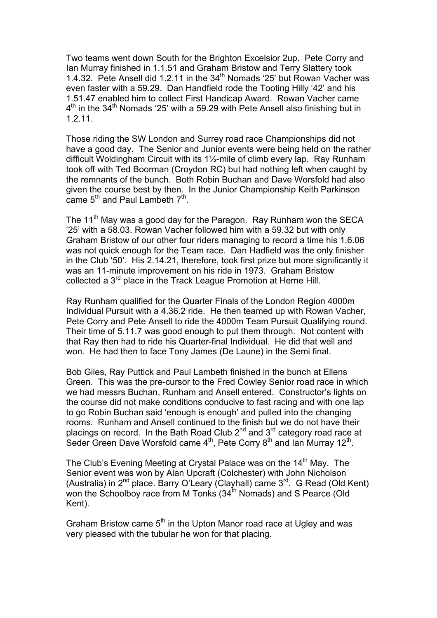Two teams went down South for the Brighton Excelsior 2up. Pete Corry and Ian Murray finished in 1.1.51 and Graham Bristow and Terry Slattery took 1.4.32. Pete Ansell did 1.2.11 in the 34<sup>th</sup> Nomads '25' but Rowan Vacher was even faster with a 59.29. Dan Handfield rode the Tooting Hilly '42' and his 1.51.47 enabled him to collect First Handicap Award. Rowan Vacher came  $4<sup>th</sup>$  in the 34<sup>th</sup> Nomads '25' with a 59.29 with Pete Ansell also finishing but in 1.2.11.

Those riding the SW London and Surrey road race Championships did not have a good day. The Senior and Junior events were being held on the rather difficult Woldingham Circuit with its 1½-mile of climb every lap. Ray Runham took off with Ted Boorman (Croydon RC) but had nothing left when caught by the remnants of the bunch. Both Robin Buchan and Dave Worsfold had also given the course best by then. In the Junior Championship Keith Parkinson came  $5<sup>th</sup>$  and Paul Lambeth  $7<sup>th</sup>$ .

The 11<sup>th</sup> May was a good day for the Paragon. Ray Runham won the SECA '25' with a 58.03. Rowan Vacher followed him with a 59.32 but with only Graham Bristow of our other four riders managing to record a time his 1.6.06 was not quick enough for the Team race. Dan Hadfield was the only finisher in the Club '50'. His 2.14.21, therefore, took first prize but more significantly it was an 11-minute improvement on his ride in 1973. Graham Bristow collected a 3rd place in the Track League Promotion at Herne Hill.

Ray Runham qualified for the Quarter Finals of the London Region 4000m Individual Pursuit with a 4.36.2 ride. He then teamed up with Rowan Vacher, Pete Corry and Pete Ansell to ride the 4000m Team Pursuit Qualifying round. Their time of 5.11.7 was good enough to put them through. Not content with that Ray then had to ride his Quarter-final Individual. He did that well and won. He had then to face Tony James (De Laune) in the Semi final.

Bob Giles, Ray Puttick and Paul Lambeth finished in the bunch at Ellens Green. This was the pre-cursor to the Fred Cowley Senior road race in which we had messrs Buchan, Runham and Ansell entered. Constructor's lights on the course did not make conditions conducive to fast racing and with one lap to go Robin Buchan said 'enough is enough' and pulled into the changing rooms. Runham and Ansell continued to the finish but we do not have their placings on record. In the Bath Road Club  $2^{nd}$  and  $3^{rd}$  category road race at Seder Green Dave Worsfold came  $4<sup>th</sup>$ , Pete Corry  $8<sup>th</sup>$  and Ian Murray 12<sup>th</sup>.

The Club's Evening Meeting at Crystal Palace was on the  $14<sup>th</sup>$  May. The Senior event was won by Alan Upcraft (Colchester) with John Nicholson (Australia) in  $2^{nd}$  place. Barry O'Leary (Clayhall) came  $3^{rd}$ . G Read (Old Kent) won the Schoolboy race from M Tonks  $(34<sup>th</sup>$  Nomads) and S Pearce (Old Kent).

Graham Bristow came  $5<sup>th</sup>$  in the Upton Manor road race at Ugley and was very pleased with the tubular he won for that placing.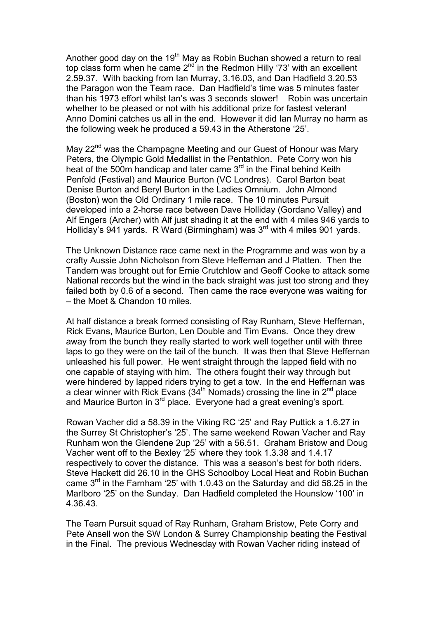Another good day on the 19<sup>th</sup> May as Robin Buchan showed a return to real top class form when he came  $2<sup>nd</sup>$  in the Redmon Hilly '73' with an excellent 2.59.37. With backing from Ian Murray, 3.16.03, and Dan Hadfield 3.20.53 the Paragon won the Team race. Dan Hadfield's time was 5 minutes faster than his 1973 effort whilst Ian's was 3 seconds slower! Robin was uncertain whether to be pleased or not with his additional prize for fastest veteran! Anno Domini catches us all in the end. However it did Ian Murray no harm as the following week he produced a 59.43 in the Atherstone '25'.

May 22<sup>nd</sup> was the Champagne Meeting and our Guest of Honour was Mary Peters, the Olympic Gold Medallist in the Pentathlon. Pete Corry won his heat of the 500m handicap and later came 3<sup>rd</sup> in the Final behind Keith Penfold (Festival) and Maurice Burton (VC Londres). Carol Barton beat Denise Burton and Beryl Burton in the Ladies Omnium. John Almond (Boston) won the Old Ordinary 1 mile race. The 10 minutes Pursuit developed into a 2-horse race between Dave Holliday (Gordano Valley) and Alf Engers (Archer) with Alf just shading it at the end with 4 miles 946 yards to Holliday's 941 yards. R Ward (Birmingham) was 3<sup>rd</sup> with 4 miles 901 yards.

The Unknown Distance race came next in the Programme and was won by a crafty Aussie John Nicholson from Steve Heffernan and J Platten. Then the Tandem was brought out for Ernie Crutchlow and Geoff Cooke to attack some National records but the wind in the back straight was just too strong and they failed both by 0.6 of a second. Then came the race everyone was waiting for – the Moet & Chandon 10 miles.

At half distance a break formed consisting of Ray Runham, Steve Heffernan, Rick Evans, Maurice Burton, Len Double and Tim Evans. Once they drew away from the bunch they really started to work well together until with three laps to go they were on the tail of the bunch. It was then that Steve Heffernan unleashed his full power. He went straight through the lapped field with no one capable of staying with him. The others fought their way through but were hindered by lapped riders trying to get a tow. In the end Heffernan was a clear winner with Rick Evans  $(34^{th}$  Nomads) crossing the line in  $2^{nd}$  place and Maurice Burton in 3<sup>rd</sup> place. Everyone had a great evening's sport.

Rowan Vacher did a 58.39 in the Viking RC '25' and Ray Puttick a 1.6.27 in the Surrey St Christopher's '25'. The same weekend Rowan Vacher and Ray Runham won the Glendene 2up '25' with a 56.51. Graham Bristow and Doug Vacher went off to the Bexley '25' where they took 1.3.38 and 1.4.17 respectively to cover the distance. This was a season's best for both riders. Steve Hackett did 26.10 in the GHS Schoolboy Local Heat and Robin Buchan came  $3<sup>rd</sup>$  in the Farnham '25' with 1.0.43 on the Saturday and did 58.25 in the Marlboro '25' on the Sunday. Dan Hadfield completed the Hounslow '100' in 4.36.43.

The Team Pursuit squad of Ray Runham, Graham Bristow, Pete Corry and Pete Ansell won the SW London & Surrey Championship beating the Festival in the Final. The previous Wednesday with Rowan Vacher riding instead of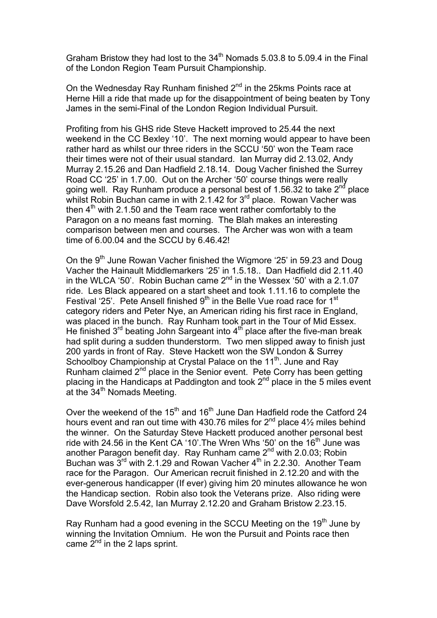Graham Bristow they had lost to the  $34<sup>th</sup>$  Nomads 5.03.8 to 5.09.4 in the Final of the London Region Team Pursuit Championship.

On the Wednesday Ray Runham finished  $2^{nd}$  in the 25kms Points race at Herne Hill a ride that made up for the disappointment of being beaten by Tony James in the semi-Final of the London Region Individual Pursuit.

Profiting from his GHS ride Steve Hackett improved to 25.44 the next weekend in the CC Bexley '10'. The next morning would appear to have been rather hard as whilst our three riders in the SCCU '50' won the Team race their times were not of their usual standard. Ian Murray did 2.13.02, Andy Murray 2.15.26 and Dan Hadfield 2.18.14. Doug Vacher finished the Surrey Road CC '25' in 1.7.00. Out on the Archer '50' course things were really going well. Ray Runham produce a personal best of 1.56.32 to take  $2^{nd}$  place whilst Robin Buchan came in with 2.1.42 for 3<sup>rd</sup> place. Rowan Vacher was then  $4<sup>th</sup>$  with 2.1.50 and the Team race went rather comfortably to the Paragon on a no means fast morning. The Blah makes an interesting comparison between men and courses. The Archer was won with a team time of 6.00.04 and the SCCU by 6.46.42!

On the  $9<sup>th</sup>$  June Rowan Vacher finished the Wigmore '25' in 59.23 and Doug Vacher the Hainault Middlemarkers '25' in 1.5.18.. Dan Hadfield did 2.11.40 in the WLCA '50'. Robin Buchan came  $2^{nd}$  in the Wessex '50' with a 2.1.07 ride. Les Black appeared on a start sheet and took 1.11.16 to complete the Festival '25'. Pete Ansell finished 9<sup>th</sup> in the Belle Vue road race for 1<sup>st</sup> category riders and Peter Nye, an American riding his first race in England, was placed in the bunch. Ray Runham took part in the Tour of Mid Essex. He finished  $3<sup>rd</sup>$  beating John Sargeant into  $4<sup>th</sup>$  place after the five-man break had split during a sudden thunderstorm. Two men slipped away to finish just 200 yards in front of Ray. Steve Hackett won the SW London & Surrey Schoolboy Championship at Crystal Palace on the 11<sup>th</sup>. June and Ray Runham claimed  $2^{nd}$  place in the Senior event. Pete Corry has been getting placing in the Handicaps at Paddington and took  $2^{nd}$  place in the 5 miles event at the 34<sup>th</sup> Nomads Meeting.

Over the weekend of the  $15<sup>th</sup>$  and  $16<sup>th</sup>$  June Dan Hadfield rode the Catford 24 hours event and ran out time with 430.76 miles for  $2<sup>nd</sup>$  place 4 $\frac{1}{2}$  miles behind the winner. On the Saturday Steve Hackett produced another personal best ride with 24.56 in the Kent CA '10'. The Wren Whs '50' on the  $16<sup>th</sup>$  June was another Paragon benefit day. Ray Runham came 2<sup>nd</sup> with 2.0.03; Robin Buchan was  $3^{\text{rd}}$  with 2.1.29 and Rowan Vacher  $4^{\text{th}}$  in 2.2.30. Another Team race for the Paragon. Our American recruit finished in 2.12.20 and with the ever-generous handicapper (If ever) giving him 20 minutes allowance he won the Handicap section. Robin also took the Veterans prize. Also riding were Dave Worsfold 2.5.42, Ian Murray 2.12.20 and Graham Bristow 2.23.15.

Ray Runham had a good evening in the SCCU Meeting on the  $19<sup>th</sup>$  June by winning the Invitation Omnium. He won the Pursuit and Points race then came  $2^{nd}$  in the 2 laps sprint.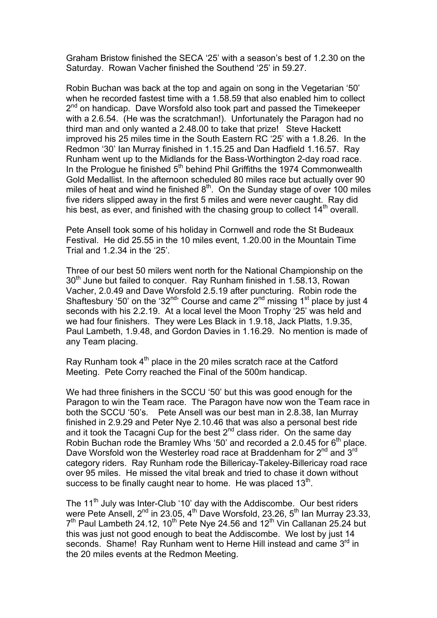Graham Bristow finished the SECA '25' with a season's best of 1.2.30 on the Saturday. Rowan Vacher finished the Southend '25' in 59.27.

Robin Buchan was back at the top and again on song in the Vegetarian '50' when he recorded fastest time with a 1.58.59 that also enabled him to collect  $2<sup>nd</sup>$  on handicap. Dave Worsfold also took part and passed the Timekeeper with a 2.6.54. (He was the scratchman!). Unfortunately the Paragon had no third man and only wanted a 2.48.00 to take that prize! Steve Hackett improved his 25 miles time in the South Eastern RC '25' with a 1.8.26. In the Redmon '30' Ian Murray finished in 1.15.25 and Dan Hadfield 1.16.57. Ray Runham went up to the Midlands for the Bass-Worthington 2-day road race. In the Prologue he finished  $5<sup>th</sup>$  behind Phil Griffiths the 1974 Commonwealth Gold Medallist. In the afternoon scheduled 80 miles race but actually over 90 miles of heat and wind he finished  $8<sup>th</sup>$ . On the Sunday stage of over 100 miles five riders slipped away in the first 5 miles and were never caught. Ray did his best, as ever, and finished with the chasing group to collect  $14<sup>th</sup>$  overall.

Pete Ansell took some of his holiday in Cornwell and rode the St Budeaux Festival. He did 25.55 in the 10 miles event, 1.20.00 in the Mountain Time Trial and 1.2.34 in the '25'.

Three of our best 50 milers went north for the National Championship on the 30<sup>th</sup> June but failed to conquer. Ray Runham finished in 1.58.13, Rowan Vacher, 2.0.49 and Dave Worsfold 2.5.19 after puncturing. Robin rode the Shaftesbury '50' on the '32<sup>nd</sup>' Course and came  $2^{nd}$  missing 1<sup>st</sup> place by just 4 seconds with his 2.2.19. At a local level the Moon Trophy '25' was held and we had four finishers. They were Les Black in 1.9.18, Jack Platts, 1.9.35, Paul Lambeth, 1.9.48, and Gordon Davies in 1.16.29. No mention is made of any Team placing.

Ray Runham took  $4<sup>th</sup>$  place in the 20 miles scratch race at the Catford Meeting. Pete Corry reached the Final of the 500m handicap.

We had three finishers in the SCCU '50' but this was good enough for the Paragon to win the Team race. The Paragon have now won the Team race in both the SCCU '50's. Pete Ansell was our best man in 2.8.38, Ian Murray finished in 2.9.29 and Peter Nye 2.10.46 that was also a personal best ride and it took the Tacagni Cup for the best  $2^{nd}$  class rider. On the same day Robin Buchan rode the Bramley Whs '50' and recorded a 2.0.45 for  $6<sup>th</sup>$  place. Dave Worsfold won the Westerley road race at Braddenham for 2<sup>nd</sup> and 3<sup>rd</sup> category riders. Ray Runham rode the Billericay-Takeley-Billericay road race over 95 miles. He missed the vital break and tried to chase it down without success to be finally caught near to home. He was placed  $13<sup>th</sup>$ .

The 11<sup>th</sup> July was Inter-Club '10' day with the Addiscombe. Our best riders were Pete Ansell,  $2^{nd}$  in 23.05,  $4^{th}$  Dave Worsfold, 23.26,  $5^{th}$  Ian Murray 23.33,  $7<sup>th</sup>$  Paul Lambeth 24.12, 10<sup>th</sup> Pete Nye 24.56 and 12<sup>th</sup> Vin Callanan 25.24 but this was just not good enough to beat the Addiscombe. We lost by just 14 seconds. Shame! Ray Runham went to Herne Hill instead and came 3<sup>rd</sup> in the 20 miles events at the Redmon Meeting.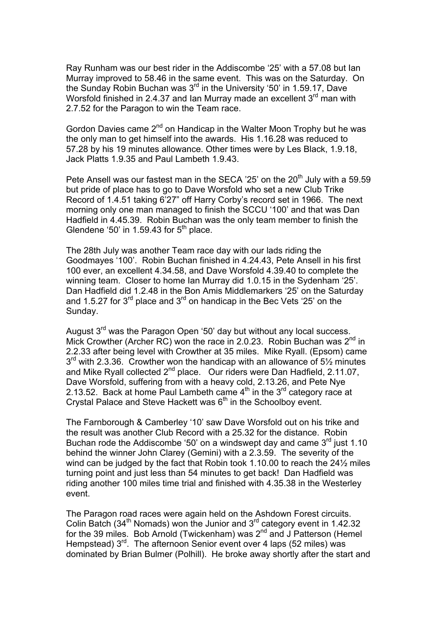Ray Runham was our best rider in the Addiscombe '25' with a 57.08 but Ian Murray improved to 58.46 in the same event. This was on the Saturday. On the Sunday Robin Buchan was 3<sup>rd</sup> in the University '50' in 1.59.17, Dave Worsfold finished in 2.4.37 and Ian Murray made an excellent  $3<sup>rd</sup>$  man with 2.7.52 for the Paragon to win the Team race.

Gordon Davies came 2<sup>nd</sup> on Handicap in the Walter Moon Trophy but he was the only man to get himself into the awards. His 1.16.28 was reduced to 57.28 by his 19 minutes allowance. Other times were by Les Black, 1.9.18, Jack Platts 1.9.35 and Paul Lambeth 1.9.43.

Pete Ansell was our fastest man in the SECA '25' on the  $20<sup>th</sup>$  July with a 59.59 but pride of place has to go to Dave Worsfold who set a new Club Trike Record of 1.4.51 taking 6'27" off Harry Corby's record set in 1966. The next morning only one man managed to finish the SCCU '100' and that was Dan Hadfield in 4.45.39. Robin Buchan was the only team member to finish the Glendene '50' in 1.59.43 for  $5<sup>th</sup>$  place.

The 28th July was another Team race day with our lads riding the Goodmayes '100'. Robin Buchan finished in 4.24.43, Pete Ansell in his first 100 ever, an excellent 4.34.58, and Dave Worsfold 4.39.40 to complete the winning team. Closer to home Ian Murray did 1.0.15 in the Sydenham '25'. Dan Hadfield did 1.2.48 in the Bon Amis Middlemarkers '25' on the Saturday and 1.5.27 for  $3^{rd}$  place and  $3^{rd}$  on handicap in the Bec Vets '25' on the Sunday.

August  $3<sup>rd</sup>$  was the Paragon Open '50' day but without any local success. Mick Crowther (Archer RC) won the race in 2.0.23. Robin Buchan was  $2^{nd}$  in 2.2.33 after being level with Crowther at 35 miles. Mike Ryall. (Epsom) came  $3<sup>rd</sup>$  with 2.3.36. Crowther won the handicap with an allowance of 5 $\frac{1}{2}$  minutes and Mike Ryall collected  $2^{nd}$  place. Our riders were Dan Hadfield, 2.11.07, Dave Worsfold, suffering from with a heavy cold, 2.13.26, and Pete Nye 2.13.52. Back at home Paul Lambeth came  $4<sup>th</sup>$  in the  $3<sup>rd</sup>$  category race at Crystal Palace and Steve Hackett was  $6<sup>th</sup>$  in the Schoolboy event.

The Farnborough & Camberley '10' saw Dave Worsfold out on his trike and the result was another Club Record with a 25.32 for the distance. Robin Buchan rode the Addiscombe '50' on a windswept day and came  $3<sup>rd</sup>$  just 1.10 behind the winner John Clarey (Gemini) with a 2.3.59. The severity of the wind can be judged by the fact that Robin took 1.10.00 to reach the 24½ miles turning point and just less than 54 minutes to get back! Dan Hadfield was riding another 100 miles time trial and finished with 4.35.38 in the Westerley event.

The Paragon road races were again held on the Ashdown Forest circuits. Colin Batch (34<sup>th</sup> Nomads) won the Junior and  $3<sup>rd</sup>$  category event in 1.42.32 for the 39 miles. Bob Arnold (Twickenham) was  $2^{nd}$  and J Patterson (Hemel Hempstead)  $3^{rd}$ . The afternoon Senior event over 4 laps (52 miles) was dominated by Brian Bulmer (Polhill). He broke away shortly after the start and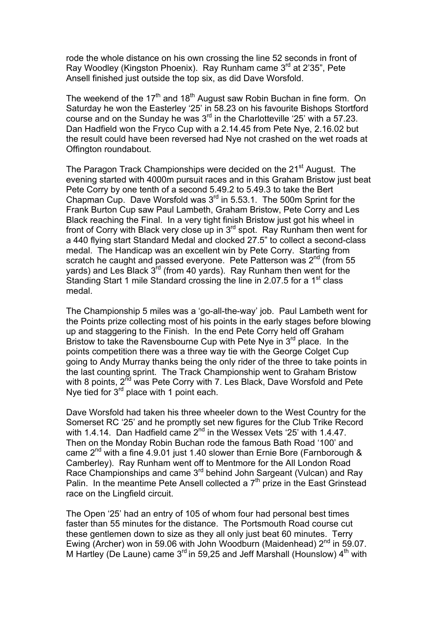rode the whole distance on his own crossing the line 52 seconds in front of Ray Woodley (Kingston Phoenix). Ray Runham came 3<sup>rd</sup> at 2'35", Pete Ansell finished just outside the top six, as did Dave Worsfold.

The weekend of the 17<sup>th</sup> and 18<sup>th</sup> August saw Robin Buchan in fine form. On Saturday he won the Easterley '25' in 58.23 on his favourite Bishops Stortford course and on the Sunday he was  $3<sup>rd</sup>$  in the Charlotteville '25' with a 57.23. Dan Hadfield won the Fryco Cup with a 2.14.45 from Pete Nye, 2.16.02 but the result could have been reversed had Nye not crashed on the wet roads at Offington roundabout.

The Paragon Track Championships were decided on the 21<sup>st</sup> August. The evening started with 4000m pursuit races and in this Graham Bristow just beat Pete Corry by one tenth of a second 5.49.2 to 5.49.3 to take the Bert Chapman Cup. Dave Worsfold was  $3<sup>rd</sup>$  in 5.53.1. The 500m Sprint for the Frank Burton Cup saw Paul Lambeth, Graham Bristow, Pete Corry and Les Black reaching the Final. In a very tight finish Bristow just got his wheel in front of Corry with Black very close up in  $3<sup>rd</sup>$  spot. Ray Runham then went for a 440 flying start Standard Medal and clocked 27.5" to collect a second-class medal. The Handicap was an excellent win by Pete Corry. Starting from scratch he caught and passed everyone. Pete Patterson was  $2^{nd}$  (from 55 vards) and Les Black 3<sup>rd</sup> (from 40 yards). Ray Runham then went for the Standing Start 1 mile Standard crossing the line in 2.07.5 for a 1<sup>st</sup> class medal.

The Championship 5 miles was a 'go-all-the-way' job. Paul Lambeth went for the Points prize collecting most of his points in the early stages before blowing up and staggering to the Finish. In the end Pete Corry held off Graham Bristow to take the Ravensbourne Cup with Pete Nye in 3<sup>rd</sup> place. In the points competition there was a three way tie with the George Colget Cup going to Andy Murray thanks being the only rider of the three to take points in the last counting sprint. The Track Championship went to Graham Bristow with 8 points,  $2^{\overline{nd}}$  was Pete Corry with 7. Les Black, Dave Worsfold and Pete Nye tied for 3<sup>rd</sup> place with 1 point each.

Dave Worsfold had taken his three wheeler down to the West Country for the Somerset RC '25' and he promptly set new figures for the Club Trike Record with 1.4.14. Dan Hadfield came 2<sup>nd</sup> in the Wessex Vets '25' with 1.4.47. Then on the Monday Robin Buchan rode the famous Bath Road '100' and came  $2^{nd}$  with a fine 4.9.01 just 1.40 slower than Ernie Bore (Farnborough & Camberley). Ray Runham went off to Mentmore for the All London Road Race Championships and came 3<sup>rd</sup> behind John Sargeant (Vulcan) and Ray Palin. In the meantime Pete Ansell collected a  $7<sup>th</sup>$  prize in the East Grinstead race on the Lingfield circuit.

The Open '25' had an entry of 105 of whom four had personal best times faster than 55 minutes for the distance. The Portsmouth Road course cut these gentlemen down to size as they all only just beat 60 minutes. Terry Ewing (Archer) won in 59.06 with John Woodburn (Maidenhead)  $2<sup>nd</sup>$  in 59.07. M Hartley (De Laune) came  $3<sup>rd</sup>$  in 59,25 and Jeff Marshall (Hounslow)  $4<sup>th</sup>$  with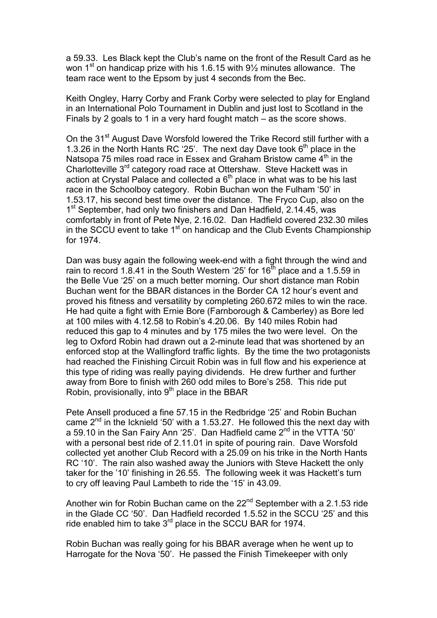a 59.33. Les Black kept the Club's name on the front of the Result Card as he won 1<sup>st</sup> on handicap prize with his 1.6.15 with  $9\frac{1}{2}$  minutes allowance. The team race went to the Epsom by just 4 seconds from the Bec.

Keith Ongley, Harry Corby and Frank Corby were selected to play for England in an International Polo Tournament in Dublin and just lost to Scotland in the Finals by 2 goals to 1 in a very hard fought match – as the score shows.

On the 31<sup>st</sup> August Dave Worsfold lowered the Trike Record still further with a 1.3.26 in the North Hants RC '25'. The next day Dave took  $6<sup>th</sup>$  place in the Natsopa 75 miles road race in Essex and Graham Bristow came 4<sup>th</sup> in the Charlotteville 3<sup>rd</sup> category road race at Ottershaw. Steve Hackett was in action at Crystal Palace and collected a  $6<sup>th</sup>$  place in what was to be his last race in the Schoolboy category. Robin Buchan won the Fulham '50' in 1.53.17, his second best time over the distance. The Fryco Cup, also on the 1<sup>st</sup> September, had only two finishers and Dan Hadfield, 2.14.45, was comfortably in front of Pete Nye, 2.16.02. Dan Hadfield covered 232.30 miles in the SCCU event to take  $1<sup>st</sup>$  on handicap and the Club Events Championship for 1974.

Dan was busy again the following week-end with a fight through the wind and rain to record 1.8.41 in the South Western '25' for 16<sup>th</sup> place and a 1.5.59 in the Belle Vue '25' on a much better morning. Our short distance man Robin Buchan went for the BBAR distances in the Border CA 12 hour's event and proved his fitness and versatility by completing 260.672 miles to win the race. He had quite a fight with Ernie Bore (Farnborough & Camberley) as Bore led at 100 miles with 4.12.58 to Robin's 4.20.06. By 140 miles Robin had reduced this gap to 4 minutes and by 175 miles the two were level. On the leg to Oxford Robin had drawn out a 2-minute lead that was shortened by an enforced stop at the Wallingford traffic lights. By the time the two protagonists had reached the Finishing Circuit Robin was in full flow and his experience at this type of riding was really paying dividends. He drew further and further away from Bore to finish with 260 odd miles to Bore's 258. This ride put Robin, provisionally, into  $9<sup>th</sup>$  place in the BBAR

Pete Ansell produced a fine 57.15 in the Redbridge '25' and Robin Buchan came  $2<sup>nd</sup>$  in the Icknield '50' with a 1.53.27. He followed this the next day with a 59.10 in the San Fairy Ann '25'. Dan Hadfield came  $2^{nd}$  in the VTTA '50' with a personal best ride of 2.11.01 in spite of pouring rain. Dave Worsfold collected yet another Club Record with a 25.09 on his trike in the North Hants RC '10'. The rain also washed away the Juniors with Steve Hackett the only taker for the '10' finishing in 26.55. The following week it was Hackett's turn to cry off leaving Paul Lambeth to ride the '15' in 43.09.

Another win for Robin Buchan came on the 22<sup>nd</sup> September with a 2.1.53 ride in the Glade CC '50'. Dan Hadfield recorded 1.5.52 in the SCCU '25' and this ride enabled him to take  $3<sup>rd</sup>$  place in the SCCU BAR for 1974.

Robin Buchan was really going for his BBAR average when he went up to Harrogate for the Nova '50'. He passed the Finish Timekeeper with only